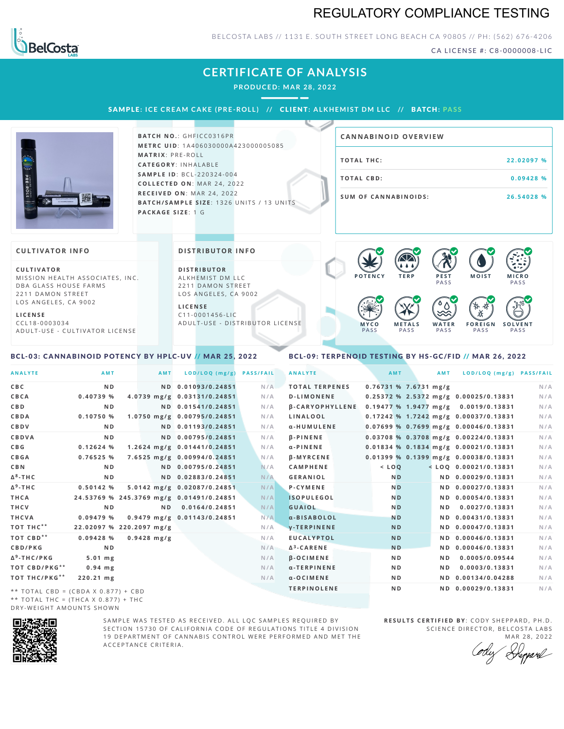# REGULATORY COMPLIANCE TESTING



## BELCOSTA LABS // 1131 E. SOUTH STREET LONG BEACH CA 90805 // PH: (562) 676-4206

CA LICENSE #: C8-0000008-LIC

# **CERTIFICATE OF ANALYSIS**

**PRODUCED: MA R 28, 2022**

SAMPLE: ICE CREAM CAKE (PRE-ROLL) // CLIENT: ALKHEMIST DM LLC // BATCH: PASS



**BATCH NO.: GHFICC0316PR M E T R C U ID** :1 A 4 0 6 0 3 0 0 0 0 A 4 2 3 0 0 0 0 0 5 0 8 5 **M AT R I X** :P R E - R O L L **CAT E G O R Y** : I N H A L A B L E **SA M P L E I D** :B C L - 2 2 0 3 2 4 - 0 0 4  $COLLECTED ON: MAR 24, 2022$ **R E C E I V E D O N** : M A R 2 4 ,2 0 2 2 **BATCH/SAMPLE SIZE:** 1326 UNITS / 13 UNITS **PAC KA G E S I Z E** : 1 G

| <b>CANNABINOID OVERVIEW</b> |            |
|-----------------------------|------------|
| TOTAL THC:                  | 22.02097 % |
| TOTAL CBD:                  | 0.09428%   |
| <b>SUM OF CANNABINOIDS:</b> | 26.54028 % |

#### **CULTIVATOR I N FO**

**C U L T I VAT O R** MISSION HEALTH ASSOCIATES, INC. DBA GLASS HOUSE FARMS 2211 DAMON STREET LOS ANGELES, CA 9002

**L I C E N S E**

C C L 1 8 - 0 0 0 3 0 3 4 A D U L T - U S E - C U L T I V A T O R L I CENSE

#### **DI STRIBUTOR I N FO**

**D I S T R IB U T O R** ALKHEMIST DM LLC 2211 DAMON STREET LOS ANGELES, CA 9002

**L I C E N S E**  $C11 - 0001456 - HC$ A D U L T - U S E - D I STRI B U T O R LICENSE



### <span id="page-0-0"></span>BCL-03: CANNABINOID POTENCY BY HPLC-UV // MAR 25, 2022

## <span id="page-0-1"></span>BCL-09: TERPENOID TESTING BY HS-GC/FID // MAR 26, 2022

| <b>ANALYTE</b>                      | AMT                                      | AMT           | LOD/LOQ (mg/g)              | <b>PASS/FAIL</b> | <b>ANALYTE</b>         |                         | <b>AMT</b>     | AMT | LOD/LOQ (mg/g) PASS/FAIL              |     |
|-------------------------------------|------------------------------------------|---------------|-----------------------------|------------------|------------------------|-------------------------|----------------|-----|---------------------------------------|-----|
| C B C                               | N <sub>D</sub>                           |               | ND 0.01093/0.24851          | N/A              | <b>TOTAL TERPENES</b>  | $0.76731$ % 7.6731 mg/g |                |     |                                       | N/A |
| CBCA                                | 0.40739 %                                |               | 4.0739 mg/g 0.03131/0.24851 | N/A              | <b>D-LIMONENE</b>      |                         |                |     | 0.25372 % 2.5372 mg/g 0.00025/0.13831 | N/A |
| C B D                               | N <sub>D</sub>                           |               | ND 0.01541/0.24851          | N/A              | <b>B-CARYOPHYLLENE</b> |                         |                |     | 0.19477 % 1.9477 mg/g 0.0019/0.13831  | N/A |
| CBDA                                | 0.10750 %                                |               | 1.0750 mg/g 0.00795/0.24851 | N/A              | LINALOOL               |                         |                |     | 0.17242 % 1.7242 mg/g 0.00037/0.13831 | N/A |
| CBDV                                | ND.                                      |               | ND 0.01193/0.24851          | N/A              | α-HUMULENE             |                         |                |     | 0.07699 % 0.7699 mg/g 0.00046/0.13831 | N/A |
| <b>CBDVA</b>                        | N <sub>D</sub>                           |               | ND 0.00795/0.24851          | N/A              | $\beta$ -PINENE        |                         |                |     | 0.03708 % 0.3708 mg/g 0.00224/0.13831 | N/A |
| C B G                               | 0.12624%                                 |               | 1.2624 mg/g 0.01441/0.24851 | N/A              | $\alpha$ -PINENE       |                         |                |     | 0.01834 % 0.1834 mg/g 0.00021/0.13831 | N/A |
| <b>CBGA</b>                         | 0.76525%                                 |               | 7.6525 mg/g 0.00994/0.24851 | N/A              | <b>B-MYRCENE</b>       |                         |                |     | 0.01399 % 0.1399 mg/g 0.00038/0.13831 | N/A |
| C B N                               | ND.                                      |               | ND 0.00795/0.24851          | N/A              | <b>CAMPHENE</b>        | $<$ LOO                 |                |     | $<$ LOQ 0.00021/0.13831               | N/A |
| Δ <sup>8</sup> -ΤΗ C                | N <sub>D</sub>                           |               | ND 0.02883/0.24851          | N/A              | <b>GERANIOL</b>        |                         | N <sub>D</sub> |     | ND 0.00029/0.13831                    | N/A |
| Δ <sup>9</sup> -ΤΗ C                | 0.50142 %                                |               | 5.0142 mg/g 0.02087/0.24851 | N/A              | <b>P-CYMENE</b>        |                         | N <sub>D</sub> |     | ND 0.00027/0.13831                    | N/A |
| THCA                                | 24.53769 % 245.3769 mg/g 0.01491/0.24851 |               |                             | N/A              | <b>ISOPULEGOL</b>      |                         | <b>ND</b>      |     | ND 0.00054/0.13831                    | N/A |
| THCV                                | N <sub>D</sub>                           | N D           | 0.0164/0.24851              | N/A              | <b>GUAIOL</b>          |                         | <b>ND</b>      | ND. | 0.0027/0.13831                        | N/A |
| THCVA                               | 0.09479 %                                |               | 0.9479 mg/g 0.01143/0.24851 | N/A              | a-BISABOLOL            |                         | <b>ND</b>      |     | ND 0.00431/0.13831                    | N/A |
| тот тнс**                           | 22.02097 % 220.2097 mg/g                 |               |                             | N/A              | <b>V-TERPINENE</b>     |                         | <b>ND</b>      |     | ND 0.00047/0.13831                    | N/A |
| тот свр**                           | 0.09428%                                 | $0.9428$ mg/g |                             | N/A              | <b>EUCALYPTOL</b>      |                         | <b>ND</b>      |     | ND 0.00046/0.13831                    | N/A |
| <b>CBD/PKG</b>                      | N <sub>D</sub>                           |               |                             | N/A              | $\Delta^3$ -CARENE     |                         | <b>ND</b>      |     | ND 0.00046/0.13831                    | N/A |
| Δ <sup>9</sup> -THC/PKG             | $5.01$ mg                                |               |                             | N/A              | <b>B-OCIMENE</b>       |                         | N <sub>D</sub> | N D | 0.0005/0.09544                        | N/A |
| <b>TOT CBD/PKG**</b>                | $0.94$ mg                                |               |                             | N/A              | α-TERPINENE            |                         | N <sub>D</sub> | ND. | 0.0003/0.13831                        | N/A |
| ТОТ ТНС/РКG**                       | 220.21 mg                                |               |                             | N/A              | $a$ -OCIMENE           |                         | N <sub>D</sub> |     | ND 0.00134/0.04288                    | N/A |
| ** TOTAL CBD = (CBDA X 0.877) + CBD |                                          |               |                             |                  | <b>TERPINOLENE</b>     |                         | N <sub>D</sub> |     | ND 0.00029/0.13831                    | N/A |
|                                     |                                          |               |                             |                  |                        |                         |                |     |                                       |     |

\*\* TOTAL THC = (THCA X  $0.877$ ) + THC DRY-WEIGHT AMOUNTS SHOWN



SAMPLE WAS TESTED AS RECEIVED. ALL LOC SAMPLES REOUIRED BY SECTION 15730 OF CALIFORNIA CODE OF REGULATIONS TITLE 4 DIVISION 19 DEPARTMENT OF CANNABIS CONTROL WERE PERFORMED AND MET THE A C C E P T A N C E C R I T E R I A.

**RESULTS CERTIFIED BY: CODY SHEPPARD, PH.D.** SCIENCE DIRECTOR, BELCOSTA LABS

MAR 28, 2022<br>*Herpard*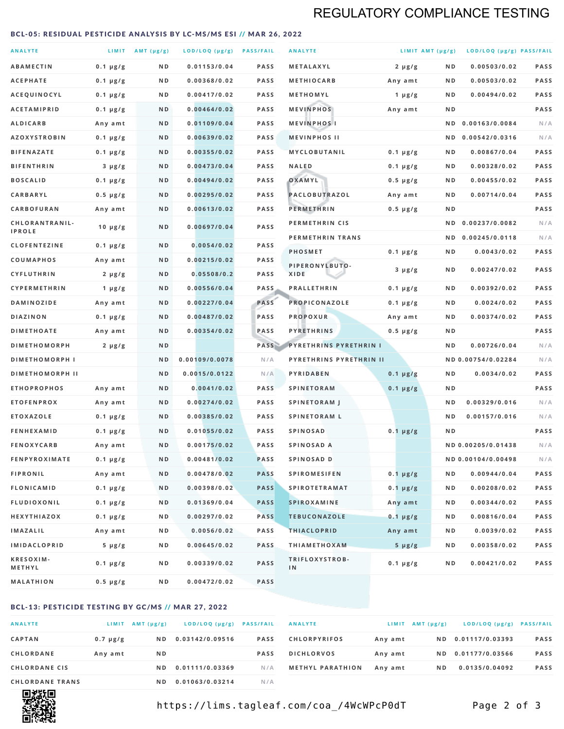# REGULATORY COMPLIANCE TESTING

### <span id="page-1-0"></span>BCL-05: RESIDUAL PESTICIDE ANALYSIS BY LC-MS/MS ESI // MAR 26, 2022

| <b>ANALYTE</b>                  |                  | LIMIT $AMT(\mu g/g)$ | LOD/LOQ (µg/g) PASS/FAIL |             | <b>ANALYTE</b>                | LIMIT AMT $(\mu g/g)$ |     | LOD/LOQ (µg/g) PASS/FAIL |             |
|---------------------------------|------------------|----------------------|--------------------------|-------------|-------------------------------|-----------------------|-----|--------------------------|-------------|
| <b>ABAMECTIN</b>                | $0.1 \mu g/g$    | N D                  | 0.01153/0.04             | <b>PASS</b> | <b>METALAXYL</b>              | $2 \mu g/g$           | N D | 0.00503/0.02             | <b>PASS</b> |
| <b>ACEPHATE</b>                 | $0.1 \mu g/g$    | ND                   | 0.00368/0.02             | <b>PASS</b> | <b>METHIOCARB</b>             | Any amt               | ND. | 0.00503/0.02             | PASS        |
| ACEQUINOCYL                     | $0.1 \mu g/g$    | N D                  | 0.00417/0.02             | <b>PASS</b> | METHOMYL                      | 1 $\mu$ g/g           | N D | 0.00494/0.02             | PASS        |
| <b>ACETAMIPRID</b>              | $0.1 \mu g/g$    | N D                  | 0.00464/0.02             | <b>PASS</b> | <b>MEVINPHOS</b>              | Any amt               | N D |                          | PASS        |
| <b>ALDICARB</b>                 | Any amt          | N D                  | 0.01109/0.04             | <b>PASS</b> | <b>MEVINPHOSI</b>             |                       | N D | 0.00163/0.0084           | N/A         |
| <b>AZOXYSTROBIN</b>             | $0.1 \mu g/g$    | N D                  | 0.00639/0.02             | <b>PASS</b> | <b>MEVINPHOS II</b>           |                       | N D | 0.00542/0.0316           | N/A         |
| <b>BIFENAZATE</b>               | $0.1 \mu g/g$    | N D                  | 0.00355/0.02             | <b>PASS</b> | <b>MYCLOBUTANIL</b>           | $0.1 \mu g/g$         | N D | 0.00867/0.04             | <b>PASS</b> |
| <b>BIFENTHRIN</b>               | $3 \mu g/g$      | N D                  | 0.00473/0.04             | <b>PASS</b> | <b>NALED</b>                  | $0.1 \mu g/g$         | ND. | 0.00328/0.02             | PASS        |
| <b>BOSCALID</b>                 | $0.1 \mu g/g$    | N D                  | 0.00494/0.02             | <b>PASS</b> | OXAMYL                        | $0.5 \mu g/g$         | ND. | 0.00455/0.02             | PASS        |
| <b>CARBARYL</b>                 | $0.5 \mu g/g$    | N D                  | 0.00295/0.02             | <b>PASS</b> | PACLOBUTRAZOL                 | Any amt               | N D | 0.00714/0.04             | <b>PASS</b> |
| CARBOFURAN                      | Any amt          | N D                  | 0.00613/0.02             | <b>PASS</b> | <b>PERMETHRIN</b>             | $0.5 \mu g/g$         | ND. |                          | PASS        |
| CHLORANTRANIL-<br><b>IPROLE</b> | $10 \mu g/g$     | N D                  | 0.00697/0.04             | PASS        | PERMETHRIN CIS                |                       | N D | 0.00237/0.0082           | N/A         |
| <b>CLOFENTEZINE</b>             | $0.1 \mu g/g$    | N D                  | 0.0054/0.02              | <b>PASS</b> | PERMETHRIN TRANS              |                       |     | ND 0.00245/0.0118        | N/A         |
| COUMAPHOS                       | Any amt          | ND                   | 0.00215/0.02             | <b>PASS</b> | <b>PHOSMET</b>                | $0.1 \mu g/g$         | N D | 0.0043/0.02              | PASS        |
| CYFLUTHRIN                      | $2 \mu g/g$      | ND                   | 0.05508/0.2              | <b>PASS</b> | PIPERONYLBUTO-<br><b>XIDE</b> | $3 \mu g/g$           | N D | 0.00247/0.02             | PASS        |
| <b>CYPERMETHRIN</b>             | 1 $\mu$ g/g      | N D                  | 0.00556/0.04             | <b>PASS</b> | <b>PRALLETHRIN</b>            | $0.1 \mu g/g$         | N D | 0.00392/0.02             | PASS        |
| <b>DAMINOZIDE</b>               | Any amt          | N D                  | 0.00227/0.04             | PASS        | PROPICONAZOLE                 | $0.1 \mu g/g$         | N D | 0.0024/0.02              | <b>PASS</b> |
| <b>DIAZINON</b>                 | $0.1 \mu g/g$    | N D                  | 0.00487/0.02             | PASS        | <b>PROPOXUR</b>               | Any amt               | ND. | 0.00374/0.02             | PASS        |
| <b>DIMETHOATE</b>               | Any amt          | N D                  | 0.00354/0.02             | PASS        | <b>PYRETHRINS</b>             | $0.5 \mu g/g$         | N D |                          | PASS        |
| <b>DIMETHOMORPH</b>             | $2 \mu g/g$      | N D                  |                          | PASS        | <b>PYRETHRINS PYRETHRIN I</b> |                       | ND  | 0.00726/0.04             | N/A         |
| <b>DIMETHOMORPH I</b>           |                  | ND                   | 0.00109/0.0078           | N/A         | PYRETHRINS PYRETHRIN II       |                       |     | ND 0.00754/0.02284       | N/A         |
| <b>DIMETHOMORPH II</b>          |                  | N <sub>D</sub>       | 0.0015/0.0122            | N/A         | PYRIDABEN                     | $0.1 \mu g/g$         | N D | 0.0034/0.02              | PASS        |
| <b>ETHOPROPHOS</b>              | Any amt          | N D                  | 0.0041/0.02              | <b>PASS</b> | <b>SPINETORAM</b>             | $0.1 \mu g/g$         | N D |                          | PASS        |
| <b>ETOFENPROX</b>               | Any amt          | N D                  | 0.00274/0.02             | <b>PASS</b> | <b>SPINETORAM J</b>           |                       | N D | 0.00329/0.016            | N/A         |
| <b>ETOXAZOLE</b>                | $0.1 \mu g/g$    | N D                  | 0.00385/0.02             | <b>PASS</b> | <b>SPINETORAM L</b>           |                       | N D | 0.00157/0.016            | N/A         |
| <b>FENHEXAMID</b>               | $0.1 \mu g/g$    | N D                  | 0.01055/0.02             | <b>PASS</b> | <b>SPINOSAD</b>               | $0.1 \mu g/g$         | N D |                          | <b>PASS</b> |
| <b>FENOXYCARB</b>               | Any amt          | ND                   | 0.00175/0.02             | <b>PASS</b> | SPINOSAD A                    |                       |     | ND 0.00205/0.01438       | N/A         |
| <b>FENPYROXIMATE</b>            | $0.1 \mu g/g$    | N D                  | 0.00481/0.02             | <b>PASS</b> | SPINOSAD D                    |                       |     | ND 0.00104/0.00498       | N/A         |
| <b>FIPRONIL</b>                 | Any amt          | N D                  | 0.00478/0.02             | <b>PASS</b> | <b>SPIROMESIFEN</b>           | $0.1 \mu g/g$         | N D | 0.00944/0.04             | PASS        |
| <b>FLONICAMID</b>               | $0.1 \mu g/g$    | N D                  | 0.00398/0.02             | <b>PASS</b> | <b>SPIROTETRAMAT</b>          | $0.1 \mu g/g$         | N D | 0.00208/0.02             | PASS        |
| <b>FLUDIOXONIL</b>              | $0.1 \, \mu g/g$ | N D                  | 0.01369/0.04             | <b>PASS</b> | <b>SPIROXAMINE</b>            | Any amt               | N D | 0.00344/0.02             | PASS        |
| <b>HEXYTHIAZOX</b>              | $0.1 \mu g/g$    | N D                  | 0.00297/0.02             | <b>PASS</b> | <b>TEBUCONAZOLE</b>           | $0.1 \mu g/g$         | N D | 0.00816/0.04             | PASS        |
| <b>IMAZALIL</b>                 | Any amt          | N D                  | 0.0056/0.02              | PASS        | <b>THIACLOPRID</b>            | Any amt               | ND. | 0.0039/0.02              | PASS        |
| <b>IMIDACLOPRID</b>             | $5 \mu g/g$      | N D                  | 0.00645/0.02             | PASS        | <b>THIAMETHOXAM</b>           | $5 \mu g/g$           | N D | 0.00358/0.02             | PASS        |
| KRESOXIM-<br>METHYL             | $0.1 \mu g/g$    | N D                  | 0.00339/0.02             | PASS        | TRIFLOXYSTROB-<br>IN          | $0.1 \mu g/g$         | ND. | 0.00421/0.02             | PASS        |
| <b>MALATHION</b>                | $0.5 \mu g/g$    | N D                  | 0.00472/0.02             | PASS        |                               |                       |     |                          |             |

## BCL-13: PESTICIDE TESTING BY GC/MS // MAR 27, 2022

| <b>ANALYTE</b>         | <b>LIMIT</b>  | $AMT(\mu g/g)$ | LOD/LOQ (µg/g)  | <b>PASS/FAIL</b> |
|------------------------|---------------|----------------|-----------------|------------------|
| <b>CAPTAN</b>          | $0.7 \mu g/g$ | N D            | 0.03142/0.09516 | <b>PASS</b>      |
| <b>CHLORDANE</b>       | Any amt       | N <sub>D</sub> |                 | <b>PASS</b>      |
| <b>CHLORDANE CIS</b>   |               | ND.            | 0.01111/0.03369 | N/A              |
| <b>CHLORDANE TRANS</b> |               | N D            | 0.01063/0.03214 | N / A            |

| <b>ANALYTE</b>          | LIMIT   | $AMT(\mu g/g)$ | LOD/LOQ (µg/g) PASS/FAIL |             |
|-------------------------|---------|----------------|--------------------------|-------------|
| <b>CHLORPYRIFOS</b>     | Any amt | ND.            | 0.01117/0.03393          | <b>PASS</b> |
| <b>DICHLORVOS</b>       | Any amt | N D.           | 0.01177/0.03566          | <b>PASS</b> |
| <b>METHYL PARATHION</b> | Any amt | ND.            | 0.0135/0.04092           | <b>PASS</b> |